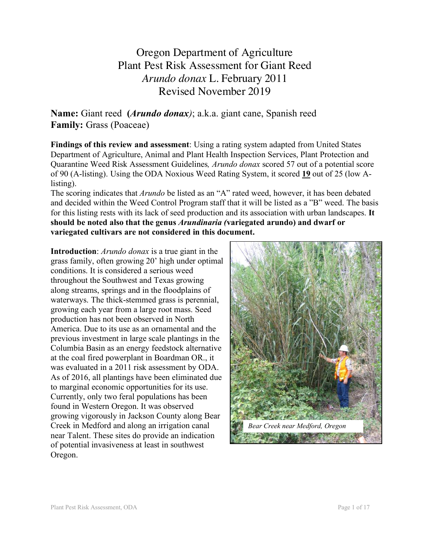Oregon Department of Agriculture Plant Pest Risk Assessment for Giant Reed *Arundo donax* L. February 2011 Revised November 2019

**Name:** Giant reed **(***Arundo donax)*; a.k.a. giant cane, Spanish reed **Family:** Grass (Poaceae)

**Findings of this review and assessment**: Using a rating system adapted from United States Department of Agriculture, Animal and Plant Health Inspection Services, Plant Protection and Quarantine Weed Risk Assessment Guidelines*, Arundo donax* scored 57 out of a potential score of 90 (A-listing). Using the ODA Noxious Weed Rating System, it scored **19** out of 25 (low Alisting).

The scoring indicates that *Arundo* be listed as an "A" rated weed, however, it has been debated and decided within the Weed Control Program staff that it will be listed as a "B" weed. The basis for this listing rests with its lack of seed production and its association with urban landscapes. **It should be noted also that the genus** *Arundinaria (***variegated arundo) and dwarf or variegated cultivars are not considered in this document.**

**Introduction**: *Arundo donax* is a true giant in the grass family, often growing 20' high under optimal conditions. It is considered a serious weed throughout the Southwest and Texas growing along streams, springs and in the floodplains of waterways. The thick-stemmed grass is perennial, growing each year from a large root mass. Seed production has not been observed in North America. Due to its use as an ornamental and the previous investment in large scale plantings in the Columbia Basin as an energy feedstock alternative at the coal fired powerplant in Boardman OR., it was evaluated in a 2011 risk assessment by ODA. As of 2016, all plantings have been eliminated due to marginal economic opportunities for its use. Currently, only two feral populations has been found in Western Oregon. It was observed growing vigorously in Jackson County along Bear Creek in Medford and along an irrigation canal near Talent. These sites do provide an indication of potential invasiveness at least in southwest Oregon.

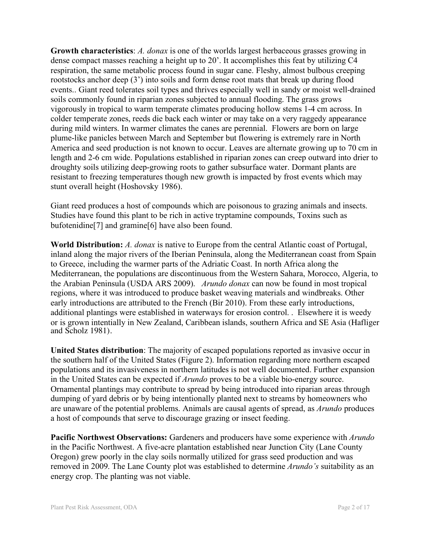**Growth characteristics**: *A. donax* is one of the worlds largest herbaceous grasses growing in dense compact masses reaching a height up to 20'. It accomplishes this feat by utilizing C4 respiration, the same metabolic process found in sugar cane. Fleshy, almost bulbous creeping rootstocks anchor deep (3') into soils and form dense root mats that break up during flood events.. Giant reed tolerates soil types and thrives especially well in sandy or moist well-drained soils commonly found in riparian zones subjected to annual flooding. The grass grows vigorously in tropical to warm temperate climates producing hollow stems 1-4 cm across. In colder temperate zones, reeds die back each winter or may take on a very raggedy appearance during mild winters. In warmer climates the canes are perennial. Flowers are born on large plume-like panicles between March and September but flowering is extremely rare in North America and seed production is not known to occur. Leaves are alternate growing up to 70 cm in length and 2-6 cm wide. Populations established in riparian zones can creep outward into drier to droughty soils utilizing deep-growing roots to gather subsurface water. Dormant plants are resistant to freezing temperatures though new growth is impacted by frost events which may stunt overall height (Hoshovsky 1986).

Giant reed produces a host of compounds which are poisonous to grazing animals and insects. Studies have found this plant to be rich in active tryptamine compounds, Toxins such as bufotenidine[7] and gramine[6] have also been found.

**World Distribution:** *A. donax* is native to Europe from the central Atlantic coast of Portugal, inland along the major rivers of the Iberian Peninsula, along the Mediterranean coast from Spain to Greece, including the warmer parts of the Adriatic Coast. In north Africa along the Mediterranean, the populations are discontinuous from the Western Sahara, Morocco, Algeria, to the Arabian Peninsula (USDA ARS 2009). *Arundo donax* can now be found in most tropical regions, where it was introduced to produce basket weaving materials and windbreaks. Other early introductions are attributed to the French (Bir 2010). From these early introductions, additional plantings were established in waterways for erosion control. . Elsewhere it is weedy or is grown intentially in New Zealand, Caribbean islands, southern Africa and SE Asia (Hafliger and Scholz 1981).

**United States distribution**: The majority of escaped populations reported as invasive occur in the southern half of the United States (Figure 2). Information regarding more northern escaped populations and its invasiveness in northern latitudes is not well documented. Further expansion in the United States can be expected if *Arundo* proves to be a viable bio-energy source. Ornamental plantings may contribute to spread by being introduced into riparian areas through dumping of yard debris or by being intentionally planted next to streams by homeowners who are unaware of the potential problems. Animals are causal agents of spread, as *Arundo* produces a host of compounds that serve to discourage grazing or insect feeding.

**Pacific Northwest Observations:** Gardeners and producers have some experience with *Arundo*  in the Pacific Northwest. A five-acre plantation established near Junction City (Lane County Oregon) grew poorly in the clay soils normally utilized for grass seed production and was removed in 2009. The Lane County plot was established to determine *Arundo's* suitability as an energy crop. The planting was not viable.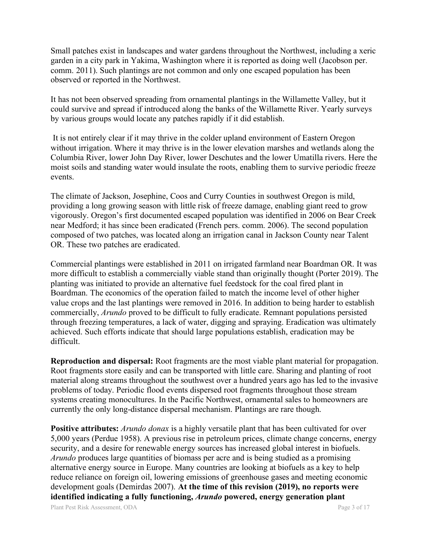Small patches exist in landscapes and water gardens throughout the Northwest, including a xeric garden in a city park in Yakima, Washington where it is reported as doing well (Jacobson per. comm. 2011). Such plantings are not common and only one escaped population has been observed or reported in the Northwest.

It has not been observed spreading from ornamental plantings in the Willamette Valley, but it could survive and spread if introduced along the banks of the Willamette River. Yearly surveys by various groups would locate any patches rapidly if it did establish.

It is not entirely clear if it may thrive in the colder upland environment of Eastern Oregon without irrigation. Where it may thrive is in the lower elevation marshes and wetlands along the Columbia River, lower John Day River, lower Deschutes and the lower Umatilla rivers. Here the moist soils and standing water would insulate the roots, enabling them to survive periodic freeze events.

The climate of Jackson, Josephine, Coos and Curry Counties in southwest Oregon is mild, providing a long growing season with little risk of freeze damage, enabling giant reed to grow vigorously. Oregon's first documented escaped population was identified in 2006 on Bear Creek near Medford; it has since been eradicated (French pers. comm. 2006). The second population composed of two patches, was located along an irrigation canal in Jackson County near Talent OR. These two patches are eradicated.

Commercial plantings were established in 2011 on irrigated farmland near Boardman OR. It was more difficult to establish a commercially viable stand than originally thought (Porter 2019). The planting was initiated to provide an alternative fuel feedstock for the coal fired plant in Boardman. The economics of the operation failed to match the income level of other higher value crops and the last plantings were removed in 2016. In addition to being harder to establish commercially, *Arundo* proved to be difficult to fully eradicate. Remnant populations persisted through freezing temperatures, a lack of water, digging and spraying. Eradication was ultimately achieved. Such efforts indicate that should large populations establish, eradication may be difficult.

**Reproduction and dispersal:** Root fragments are the most viable plant material for propagation. Root fragments store easily and can be transported with little care. Sharing and planting of root material along streams throughout the southwest over a hundred years ago has led to the invasive problems of today. Periodic flood events dispersed root fragments throughout those stream systems creating monocultures. In the Pacific Northwest, ornamental sales to homeowners are currently the only long-distance dispersal mechanism. Plantings are rare though.

Plant Pest Risk Assessment, ODA Page 3 of 17 **Positive attributes:** *Arundo donax* is a highly versatile plant that has been cultivated for over 5,000 years (Perdue 1958). A previous rise in petroleum prices, climate change concerns, energy security, and a desire for renewable energy sources has increased global interest in biofuels. *Arundo* produces large quantities of biomass per acre and is being studied as a promising alternative energy source in Europe. Many countries are looking at biofuels as a key to help reduce reliance on foreign oil, lowering emissions of greenhouse gases and meeting economic development goals (Demirdas 2007). **At the time of this revision (2019), no reports were identified indicating a fully functioning,** *Arundo* **powered, energy generation plant**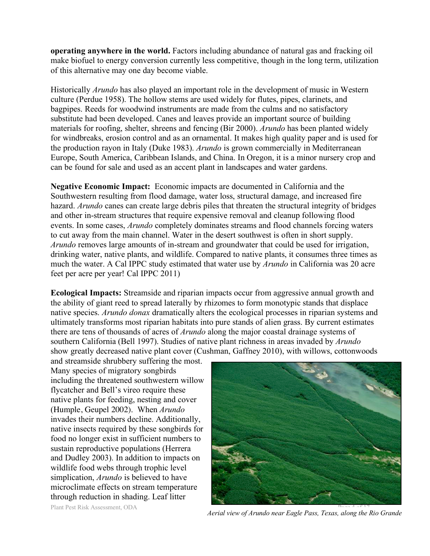**operating anywhere in the world.** Factors including abundance of natural gas and fracking oil make biofuel to energy conversion currently less competitive, though in the long term, utilization of this alternative may one day become viable.

Historically *Arundo* has also played an important role in the development of music in Western culture (Perdue 1958). The hollow stems are used widely for flutes, pipes, clarinets, and bagpipes. Reeds for woodwind instruments are made from the culms and no satisfactory substitute had been developed. Canes and leaves provide an important source of building materials for roofing, shelter, shreens and fencing (Bir 2000). *Arundo* has been planted widely for windbreaks, erosion control and as an ornamental. It makes high quality paper and is used for the production rayon in Italy (Duke 1983). *Arundo* is grown commercially in Mediterranean Europe, South America, Caribbean Islands, and China. In Oregon, it is a minor nursery crop and can be found for sale and used as an accent plant in landscapes and water gardens.

**Negative Economic Impact:** Economic impacts are documented in California and the Southwestern resulting from flood damage, water loss, structural damage, and increased fire hazard. *Arundo* canes can create large debris piles that threaten the structural integrity of bridges and other in-stream structures that require expensive removal and cleanup following flood events. In some cases, *Arundo* completely dominates streams and flood channels forcing waters to cut away from the main channel. Water in the desert southwest is often in short supply. *Arundo* removes large amounts of in-stream and groundwater that could be used for irrigation, drinking water, native plants, and wildlife. Compared to native plants, it consumes three times as much the water. A Cal IPPC study estimated that water use by *Arundo* in California was 20 acre feet per acre per year! Cal IPPC 2011)

**Ecological Impacts:** Streamside and riparian impacts occur from aggressive annual growth and the ability of giant reed to spread laterally by rhizomes to form monotypic stands that displace native species. *Arundo donax* dramatically alters the ecological processes in riparian systems and ultimately transforms most riparian habitats into pure stands of alien grass. By current estimates there are tens of thousands of acres of *Arundo* along the major coastal drainage systems of southern California (Bell 1997). Studies of native plant richness in areas invaded by *Arundo* show greatly decreased native plant cover (Cushman, Gaffney 2010), with willows, cottonwoods

Plant Pest Risk Assessment, ODA and streamside shrubbery suffering the most. Many species of migratory songbirds including the threatened southwestern willow flycatcher and Bell's vireo require these native plants for feeding, nesting and cover (Humple, Geupel 2002). When *Arundo* invades their numbers decline. Additionally, native insects required by these songbirds for food no longer exist in sufficient numbers to sustain reproductive populations (Herrera and Dudley 2003). In addition to impacts on wildlife food webs through trophic level simplication, *Arundo* is believed to have microclimate effects on stream temperature through reduction in shading. Leaf litter



*Aerial view of Arundo near Eagle Pass, Texas, along the Rio Grande*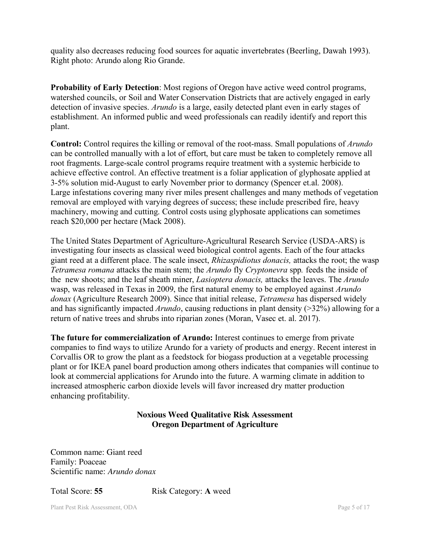quality also decreases reducing food sources for aquatic invertebrates (Beerling, Dawah 1993). Right photo: Arundo along Rio Grande.

**Probability of Early Detection**: Most regions of Oregon have active weed control programs, watershed councils, or Soil and Water Conservation Districts that are actively engaged in early detection of invasive species. *Arundo* is a large, easily detected plant even in early stages of establishment. An informed public and weed professionals can readily identify and report this plant.

**Control:** Control requires the killing or removal of the root-mass. Small populations of *Arundo* can be controlled manually with a lot of effort, but care must be taken to completely remove all root fragments. Large-scale control programs require treatment with a systemic herbicide to achieve effective control. An effective treatment is a foliar application of glyphosate applied at 3-5% solution mid-August to early November prior to dormancy (Spencer et.al. 2008). Large infestations covering many river miles present challenges and many methods of vegetation removal are employed with varying degrees of success; these include prescribed fire, heavy machinery, mowing and cutting. Control costs using glyphosate applications can sometimes reach \$20,000 per hectare (Mack 2008).

The United States Department of Agriculture-Agricultural Research Service (USDA-ARS) is investigating four insects as classical weed biological control agents. Each of the four attacks giant reed at a different place. The scale insect, *Rhizaspidiotus donacis,* attacks the root; the wasp *Tetramesa romana* attacks the main stem; the *Arundo* fly *Cryptonevra* spp*.* feeds the inside of the new shoots; and the leaf sheath miner, *Lasioptera donacis,* attacks the leaves. The *Arundo* wasp, was released in Texas in 2009, the first natural enemy to be employed against *Arundo donax* (Agriculture Research 2009). Since that initial release, *Tetramesa* has dispersed widely and has significantly impacted *Arundo*, causing reductions in plant density (>32%) allowing for a return of native trees and shrubs into riparian zones (Moran, Vasec et. al. 2017).

**The future for commercialization of Arundo:** Interest continues to emerge from private companies to find ways to utilize Arundo for a variety of products and energy. Recent interest in Corvallis OR to grow the plant as a feedstock for biogass production at a vegetable processing plant or for IKEA panel board production among others indicates that companies will continue to look at commercial applications for Arundo into the future. A warming climate in addition to increased atmospheric carbon dioxide levels will favor increased dry matter production enhancing profitability.

## **Noxious Weed Qualitative Risk Assessment Oregon Department of Agriculture**

Common name: Giant reed Family: Poaceae Scientific name: *Arundo donax*

Total Score: **55** Risk Category: **A** weed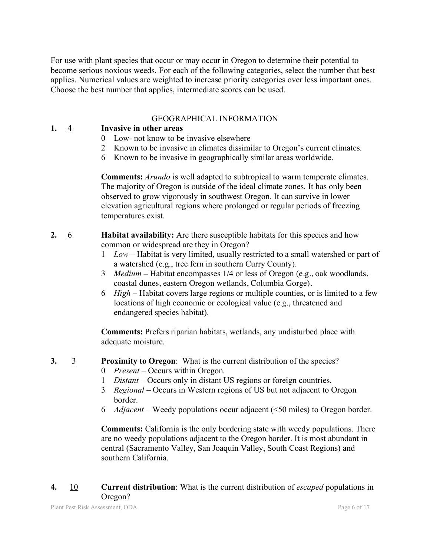For use with plant species that occur or may occur in Oregon to determine their potential to become serious noxious weeds. For each of the following categories, select the number that best applies. Numerical values are weighted to increase priority categories over less important ones. Choose the best number that applies, intermediate scores can be used.

### GEOGRAPHICAL INFORMATION

### **1.** 4 **Invasive in other areas**

- 0 Low- not know to be invasive elsewhere
- 2 Known to be invasive in climates dissimilar to Oregon's current climates.
- 6 Known to be invasive in geographically similar areas worldwide.

**Comments:** *Arundo* is well adapted to subtropical to warm temperate climates. The majority of Oregon is outside of the ideal climate zones. It has only been observed to grow vigorously in southwest Oregon. It can survive in lower elevation agricultural regions where prolonged or regular periods of freezing temperatures exist.

- **2. 6 Habitat availability:** Are there susceptible habitats for this species and how common or widespread are they in Oregon?
	- 1 *Low* Habitat is very limited, usually restricted to a small watershed or part of a watershed (e.g., tree fern in southern Curry County).
	- 3 *Medium* Habitat encompasses 1/4 or less of Oregon (e.g., oak woodlands, coastal dunes, eastern Oregon wetlands, Columbia Gorge).
	- 6 *High* Habitat covers large regions or multiple counties, or is limited to a few locations of high economic or ecological value (e.g., threatened and endangered species habitat).

**Comments:** Prefers riparian habitats, wetlands, any undisturbed place with adequate moisture.

- **3.** 3 **Proximity to Oregon**: What is the current distribution of the species?
	- 0 *Present* Occurs within Oregon.
	- 1 *Distant* Occurs only in distant US regions or foreign countries.
	- 3 *Regional* Occurs in Western regions of US but not adjacent to Oregon border.
	- 6 *Adjacent* Weedy populations occur adjacent (<50 miles) to Oregon border.

**Comments:** California is the only bordering state with weedy populations. There are no weedy populations adjacent to the Oregon border. It is most abundant in central (Sacramento Valley, San Joaquin Valley, South Coast Regions) and southern California.

**4.** 10 **Current distribution**: What is the current distribution of *escaped* populations in Oregon?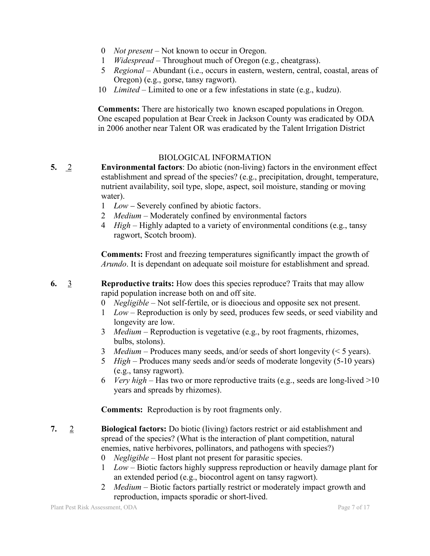- 0 *Not present* Not known to occur in Oregon.
- 1 *Widespread* Throughout much of Oregon (e.g., cheatgrass).
- 5 *Regional* Abundant (i.e., occurs in eastern, western, central, coastal, areas of Oregon) (e.g., gorse, tansy ragwort).
- 10 *Limited* Limited to one or a few infestations in state (e.g., kudzu).

**Comments:** There are historically two known escaped populations in Oregon. One escaped population at Bear Creek in Jackson County was eradicated by ODA in 2006 another near Talent OR was eradicated by the Talent Irrigation District

### BIOLOGICAL INFORMATION

- **5.** 2 **Environmental factors**: Do abiotic (non-living) factors in the environment effect establishment and spread of the species? (e.g., precipitation, drought, temperature, nutrient availability, soil type, slope, aspect, soil moisture, standing or moving water).
	- 1 *Low* Severely confined by abiotic factors.
	- 2 *Medium* Moderately confined by environmental factors
	- 4 *High* Highly adapted to a variety of environmental conditions (e.g., tansy ragwort, Scotch broom).

**Comments:** Frost and freezing temperatures significantly impact the growth of *Arundo*. It is dependant on adequate soil moisture for establishment and spread.

- **6.** 3 **Reproductive traits:** How does this species reproduce? Traits that may allow rapid population increase both on and off site.
	- 0 *Negligible* Not self-fertile, or is dioecious and opposite sex not present.
	- 1 *Low* Reproduction is only by seed, produces few seeds, or seed viability and longevity are low.
	- 3 *Medium* Reproduction is vegetative (e.g., by root fragments, rhizomes, bulbs, stolons).
	- 3 *Medium* Produces many seeds, and/or seeds of short longevity (< 5 years).
	- 5 *High* Produces many seeds and/or seeds of moderate longevity (5-10 years) (e.g., tansy ragwort).
	- 6 *Very high* Has two or more reproductive traits (e.g., seeds are long-lived >10 years and spreads by rhizomes).

**Comments:** Reproduction is by root fragments only.

- **7.** 2 **Biological factors:** Do biotic (living) factors restrict or aid establishment and spread of the species? (What is the interaction of plant competition, natural enemies, native herbivores, pollinators, and pathogens with species?)
	- 0 *Negligible* Host plant not present for parasitic species.
	- 1 *Low* Biotic factors highly suppress reproduction or heavily damage plant for an extended period (e.g., biocontrol agent on tansy ragwort).
	- 2 *Medium* Biotic factors partially restrict or moderately impact growth and reproduction, impacts sporadic or short-lived.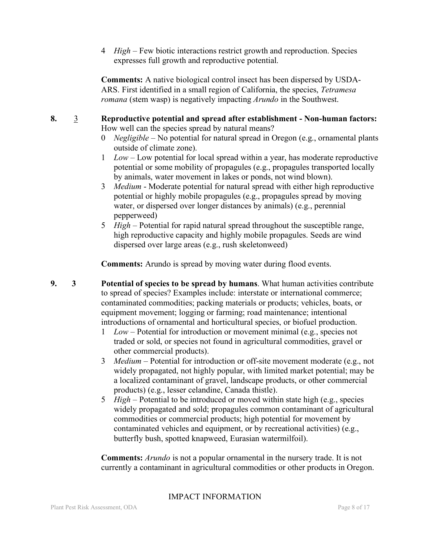4 *High* – Few biotic interactions restrict growth and reproduction. Species expresses full growth and reproductive potential.

**Comments:** A native biological control insect has been dispersed by USDA-ARS. First identified in a small region of California, the species, *Tetramesa romana* (stem wasp) is negatively impacting *Arundo* in the Southwest.

- **8.** 3 **Reproductive potential and spread after establishment - Non-human factors:**  How well can the species spread by natural means?
	- 0 *Negligible*  No potential for natural spread in Oregon (e.g., ornamental plants outside of climate zone).
	- 1 *Low* Low potential for local spread within a year, has moderate reproductive potential or some mobility of propagules (e.g., propagules transported locally by animals, water movement in lakes or ponds, not wind blown).
	- 3 *Medium* Moderate potential for natural spread with either high reproductive potential or highly mobile propagules (e.g., propagules spread by moving water, or dispersed over longer distances by animals) (e.g., perennial pepperweed)
	- 5 *High*  Potential for rapid natural spread throughout the susceptible range, high reproductive capacity and highly mobile propagules. Seeds are wind dispersed over large areas (e.g., rush skeletonweed)

**Comments:** Arundo is spread by moving water during flood events.

- **9. 3 Potential of species to be spread by humans**. What human activities contribute to spread of species? Examples include: interstate or international commerce; contaminated commodities; packing materials or products; vehicles, boats, or equipment movement; logging or farming; road maintenance; intentional introductions of ornamental and horticultural species, or biofuel production.
	- 1 *Low* Potential for introduction or movement minimal (e.g., species not traded or sold, or species not found in agricultural commodities, gravel or other commercial products).
	- 3 *Medium*  Potential for introduction or off-site movement moderate (e.g., not widely propagated, not highly popular, with limited market potential; may be a localized contaminant of gravel, landscape products, or other commercial products) (e.g., lesser celandine, Canada thistle).
	- 5 *High*  Potential to be introduced or moved within state high (e.g., species widely propagated and sold; propagules common contaminant of agricultural commodities or commercial products; high potential for movement by contaminated vehicles and equipment, or by recreational activities) (e.g., butterfly bush, spotted knapweed, Eurasian watermilfoil).

**Comments:** *Arundo* is not a popular ornamental in the nursery trade. It is not currently a contaminant in agricultural commodities or other products in Oregon.

#### IMPACT INFORMATION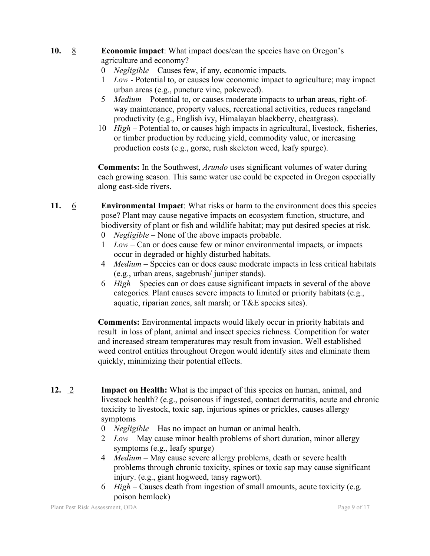#### **10.** 8 **Economic impact**: What impact does/can the species have on Oregon's agriculture and economy?

- 0 *Negligible* Causes few, if any, economic impacts.
- 1 *Low* Potential to, or causes low economic impact to agriculture; may impact urban areas (e.g., puncture vine, pokeweed).
- 5 *Medium* Potential to, or causes moderate impacts to urban areas, right-ofway maintenance, property values, recreational activities, reduces rangeland productivity (e.g., English ivy, Himalayan blackberry, cheatgrass).
- 10 *High*  Potential to, or causes high impacts in agricultural, livestock, fisheries, or timber production by reducing yield, commodity value, or increasing production costs (e.g., gorse, rush skeleton weed, leafy spurge).

**Comments:** In the Southwest, *Arundo* uses significant volumes of water during each growing season. This same water use could be expected in Oregon especially along east-side rivers.

- **11.** 6 **Environmental Impact**: What risks or harm to the environment does this species pose? Plant may cause negative impacts on ecosystem function, structure, and biodiversity of plant or fish and wildlife habitat; may put desired species at risk.
	- 0 *Negligible*  None of the above impacts probable.
	- 1 *Low* Can or does cause few or minor environmental impacts, or impacts occur in degraded or highly disturbed habitats.
	- 4 *Medium*  Species can or does cause moderate impacts in less critical habitats (e.g., urban areas, sagebrush/ juniper stands).
	- 6 *High*  Species can or does cause significant impacts in several of the above categories. Plant causes severe impacts to limited or priority habitats (e.g., aquatic, riparian zones, salt marsh; or T&E species sites).

**Comments:** Environmental impacts would likely occur in priority habitats and result in loss of plant, animal and insect species richness. Competition for water and increased stream temperatures may result from invasion. Well established weed control entities throughout Oregon would identify sites and eliminate them quickly, minimizing their potential effects.

- **12.** 2 **Impact on Health:** What is the impact of this species on human, animal, and livestock health? (e.g., poisonous if ingested, contact dermatitis, acute and chronic toxicity to livestock, toxic sap, injurious spines or prickles, causes allergy symptoms
	- 0 *Negligible* Has no impact on human or animal health.
	- 2 *Low*  May cause minor health problems of short duration, minor allergy symptoms (e.g., leafy spurge)
	- 4 *Medium*  May cause severe allergy problems, death or severe health problems through chronic toxicity, spines or toxic sap may cause significant injury. (e.g., giant hogweed, tansy ragwort).
	- 6 *High* Causes death from ingestion of small amounts, acute toxicity (e.g. poison hemlock)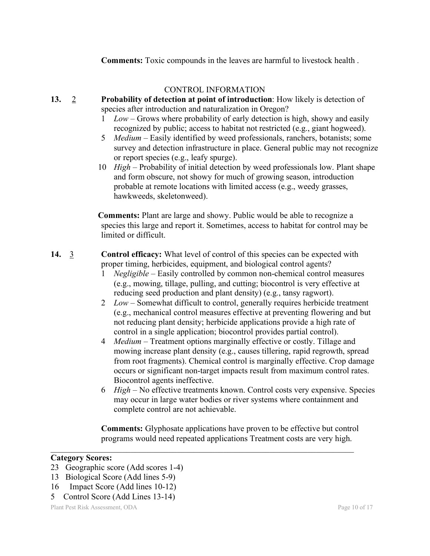**Comments:** Toxic compounds in the leaves are harmful to livestock health .

## CONTROL INFORMATION

#### **13.** 2 **Probability of detection at point of introduction**: How likely is detection of species after introduction and naturalization in Oregon?

- 1 *Low*  Grows where probability of early detection is high, showy and easily recognized by public; access to habitat not restricted (e.g., giant hogweed).
- 5 *Medium* Easily identified by weed professionals, ranchers, botanists; some survey and detection infrastructure in place. General public may not recognize or report species (e.g., leafy spurge).
- 10 *High* Probability of initial detection by weed professionals low. Plant shape and form obscure, not showy for much of growing season, introduction probable at remote locations with limited access (e.g., weedy grasses, hawkweeds, skeletonweed).

**Comments:** Plant are large and showy. Public would be able to recognize a species this large and report it. Sometimes, access to habitat for control may be limited or difficult.

- **14.** 3 **Control efficacy:** What level of control of this species can be expected with proper timing, herbicides, equipment, and biological control agents?
	- 1 *Negligible* Easily controlled by common non-chemical control measures (e.g., mowing, tillage, pulling, and cutting; biocontrol is very effective at reducing seed production and plant density) (e.g., tansy ragwort).
	- 2 *Low*  Somewhat difficult to control, generally requires herbicide treatment (e.g., mechanical control measures effective at preventing flowering and but not reducing plant density; herbicide applications provide a high rate of control in a single application; biocontrol provides partial control).
	- 4 *Medium*  Treatment options marginally effective or costly. Tillage and mowing increase plant density (e.g., causes tillering, rapid regrowth, spread from root fragments). Chemical control is marginally effective. Crop damage occurs or significant non-target impacts result from maximum control rates. Biocontrol agents ineffective.
	- 6 *High* No effective treatments known. Control costs very expensive. Species may occur in large water bodies or river systems where containment and complete control are not achievable.

**Comments:** Glyphosate applications have proven to be effective but control programs would need repeated applications Treatment costs are very high.

 $\mathcal{L}_\mathcal{L} = \{ \mathcal{L}_\mathcal{L} = \{ \mathcal{L}_\mathcal{L} = \{ \mathcal{L}_\mathcal{L} = \{ \mathcal{L}_\mathcal{L} = \{ \mathcal{L}_\mathcal{L} = \{ \mathcal{L}_\mathcal{L} = \{ \mathcal{L}_\mathcal{L} = \{ \mathcal{L}_\mathcal{L} = \{ \mathcal{L}_\mathcal{L} = \{ \mathcal{L}_\mathcal{L} = \{ \mathcal{L}_\mathcal{L} = \{ \mathcal{L}_\mathcal{L} = \{ \mathcal{L}_\mathcal{L} = \{ \mathcal{L}_\mathcal{$ 

#### **Category Scores:**

- 23 Geographic score (Add scores 1-4)
- 13 Biological Score (Add lines 5-9)
- 16 Impact Score (Add lines 10-12)
- 5 Control Score (Add Lines 13-14)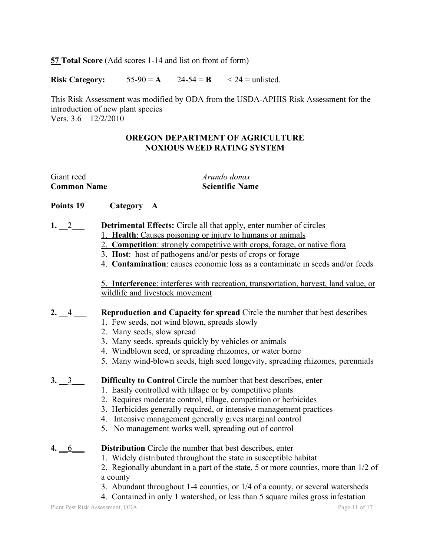**57 Total Score** (Add scores 1-14 and list on front of form)

**Risk Category:** 55-90 = **A** 24-54 = **B**  $\leq 24$  = unlisted.

This Risk Assessment was modified by ODA from the USDA-APHIS Risk Assessment for the introduction of new plant species Vers. 3.6 12/2/2010

 $\mathcal{L}_\mathcal{L} = \mathcal{L}_\mathcal{L} = \mathcal{L}_\mathcal{L} = \mathcal{L}_\mathcal{L} = \mathcal{L}_\mathcal{L} = \mathcal{L}_\mathcal{L} = \mathcal{L}_\mathcal{L} = \mathcal{L}_\mathcal{L} = \mathcal{L}_\mathcal{L} = \mathcal{L}_\mathcal{L} = \mathcal{L}_\mathcal{L} = \mathcal{L}_\mathcal{L} = \mathcal{L}_\mathcal{L} = \mathcal{L}_\mathcal{L} = \mathcal{L}_\mathcal{L} = \mathcal{L}_\mathcal{L} = \mathcal{L}_\mathcal{L}$ 

#### **OREGON DEPARTMENT OF AGRICULTURE NOXIOUS WEED RATING SYSTEM**

| Giant reed         | Arundo donax           |
|--------------------|------------------------|
| <b>Common Name</b> | <b>Scientific Name</b> |

**Points 19 Category A**

- **1.** 2 **Detrimental Effects:** Circle all that apply, enter number of circles
	- 1. **Health**: Causes poisoning or injury to humans or animals
	- 2. **Competition**: strongly competitive with crops, forage, or native flora
	- 3. **Host**: host of pathogens and/or pests of crops or forage
	- 4. **Contamination**: causes economic loss as a contaminate in seeds and/or feeds

5. **Interference**: interferes with recreation, transportation, harvest, land value, or wildlife and livestock movement

- **2.** 4 Reproduction and Capacity for spread Circle the number that best describes
	- 1. Few seeds, not wind blown, spreads slowly
	- 2. Many seeds, slow spread
	- 3. Many seeds, spreads quickly by vehicles or animals
	- 4. Windblown seed, or spreading rhizomes, or water borne
	- 5. Many wind-blown seeds, high seed longevity, spreading rhizomes, perennials

#### **3. 3 Difficulty to Control** Circle the number that best describes, enter

- 1. Easily controlled with tillage or by competitive plants
- 2. Requires moderate control, tillage, competition or herbicides
- 3. Herbicides generally required, or intensive management practices
- 4. Intensive management generally gives marginal control
- 5. No management works well, spreading out of control

### **4.** 6 **Distribution** Circle the number that best describes, enter

1. Widely distributed throughout the state in susceptible habitat

2. Regionally abundant in a part of the state, 5 or more counties, more than 1/2 of a county

- 3. Abundant throughout 1-4 counties, or 1/4 of a county, or several watersheds
- 4. Contained in only 1 watershed, or less than 5 square miles gross infestation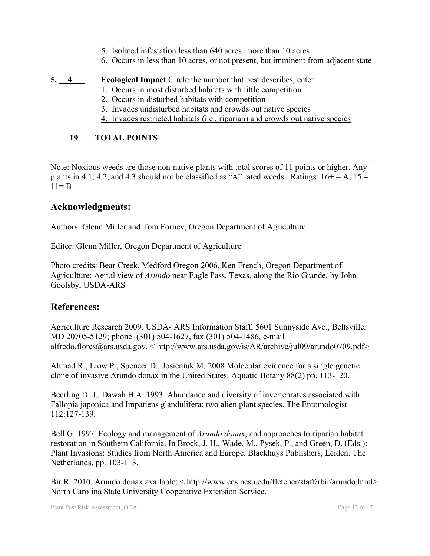- 5. Isolated infestation less than 640 acres, more than 10 acres
- 6. Occurs in less than 10 acres, or not present, but imminent from adjacent state

## **5.** 4 **Ecological Impact** Circle the number that best describes, enter

- 1. Occurs in most disturbed habitats with little competition
	- 2. Occurs in disturbed habitats with competition
	- 3. Invades undisturbed habitats and crowds out native species
	- 4. Invades restricted habitats (i.e., riparian) and crowds out native species

# \_\_**19**\_\_ **TOTAL POINTS**

Note: Noxious weeds are those non-native plants with total scores of 11 points or higher. Any plants in 4.1, 4.2, and 4.3 should not be classified as "A" rated weeds. Ratings:  $16+=A$ ,  $15$  –  $11 = B$ 

 $\mathcal{L}_\mathcal{L} = \{ \mathcal{L}_\mathcal{L} = \{ \mathcal{L}_\mathcal{L} = \{ \mathcal{L}_\mathcal{L} = \{ \mathcal{L}_\mathcal{L} = \{ \mathcal{L}_\mathcal{L} = \{ \mathcal{L}_\mathcal{L} = \{ \mathcal{L}_\mathcal{L} = \{ \mathcal{L}_\mathcal{L} = \{ \mathcal{L}_\mathcal{L} = \{ \mathcal{L}_\mathcal{L} = \{ \mathcal{L}_\mathcal{L} = \{ \mathcal{L}_\mathcal{L} = \{ \mathcal{L}_\mathcal{L} = \{ \mathcal{L}_\mathcal{$ 

# **Acknowledgments:**

Authors: Glenn Miller and Tom Forney, Oregon Department of Agriculture

Editor: Glenn Miller, Oregon Department of Agriculture

Photo credits: Bear Creek, Medford Oregon 2006, Ken French, Oregon Department of Agriculture; Aerial view of *Arundo* near Eagle Pass, Texas, along the Rio Grande, by John Goolsby, USDA-ARS

# **References:**

Agriculture Research 2009. USDA- ARS Information Staff, 5601 Sunnyside Ave., Beltsville, MD 20705-5129; phone (301) 504-1627, fax (301) 504-1486, e-mail alfredo.flores@ars.usda.gov. < http://www.ars.usda.gov/is/AR/archive/jul09/arundo0709.pdf>

Ahmad R., Liow P., Spencer D., Josieniuk M. 2008 Molecular evidence for a single genetic clone of invasive Arundo donax in the United States. Aquatic Botany 88(2) pp. 113-120.

Beerling D. J., Dawah H.A. 1993. Abundance and diversity of invertebrates associated with Fallopia japonica and Impatiens glandulifera: two alien plant species. The Entomologist 112:127-139.

Bell G. 1997. Ecology and management of *Arundo donax*, and approaches to riparian habitat restoration in Southern California. In Brock, J. H., Wade, M., Pysek, P., and Green, D. (Eds.): Plant Invasions: Studies from North America and Europe. Blackhuys Publishers, Leiden. The Netherlands, pp. 103-113.

Bir R. 2010. Arundo donax available: < http://www.ces.ncsu.edu/fletcher/staff/rbir/arundo.html> North Carolina State University Cooperative Extension Service.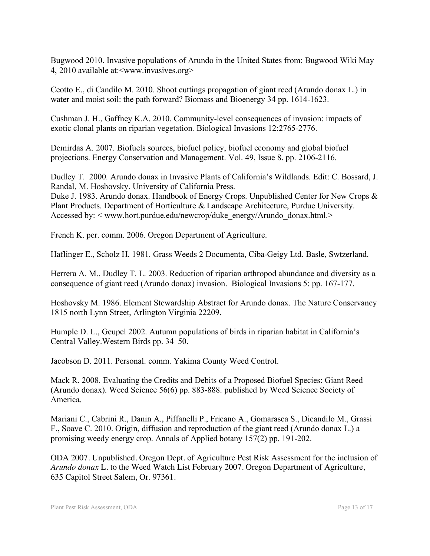Bugwood 2010. Invasive populations of Arundo in the United States from: Bugwood Wiki May 4, 2010 available at:<www.invasives.org>

Ceotto E., di Candilo M. 2010. Shoot cuttings propagation of giant reed (Arundo donax L.) in water and moist soil: the path forward? Biomass and Bioenergy 34 pp. 1614-1623.

Cushman J. H., Gaffney K.A. 2010. Community-level consequences of invasion: impacts of exotic clonal plants on riparian vegetation. Biological Invasions 12:2765-2776.

Demirdas A. 2007. Biofuels sources, biofuel policy, biofuel economy and global biofuel projections. Energy Conservation and Management. Vol. 49, Issue 8. pp. 2106-2116.

Dudley T. 2000. Arundo donax in Invasive Plants of California's Wildlands. Edit: C. Bossard, J. Randal, M. Hoshovsky. University of California Press.

Duke J. 1983. Arundo donax. Handbook of Energy Crops. Unpublished Center for New Crops & Plant Products. Department of Horticulture & Landscape Architecture, Purdue University. Accessed by: < www.hort.purdue.edu/newcrop/duke\_energy/Arundo\_donax.html.>

French K. per. comm. 2006. Oregon Department of Agriculture.

Haflinger E., Scholz H. 1981. Grass Weeds 2 Documenta, Ciba-Geigy Ltd. Basle, Swtzerland.

Herrera A. M., Dudley T. L. 2003. Reduction of riparian arthropod abundance and diversity as a consequence of giant reed (Arundo donax) invasion. Biological Invasions 5: pp. 167-177.

Hoshovsky M. 1986. Element Stewardship Abstract for Arundo donax. The Nature Conservancy 1815 north Lynn Street, Arlington Virginia 22209.

Humple D. L., Geupel 2002. Autumn populations of birds in riparian habitat in California's Central Valley.Western Birds pp. 34–50.

Jacobson D. 2011. Personal. comm. Yakima County Weed Control.

Mack R. 2008. Evaluating the Credits and Debits of a Proposed Biofuel Species: Giant Reed (Arundo donax). Weed Science 56(6) pp. 883-888. published by Weed Science Society of America.

Mariani C., Cabrini R., Danin A., Piffanelli P., Fricano A., Gomarasca S., Dicandilo M., Grassi F., Soave C. 2010. Origin, diffusion and reproduction of the giant reed (Arundo donax L.) a promising weedy energy crop. Annals of Applied botany 157(2) pp. 191-202.

ODA 2007. Unpublished. Oregon Dept. of Agriculture Pest Risk Assessment for the inclusion of *Arundo donax* L. to the Weed Watch List February 2007. Oregon Department of Agriculture, 635 Capitol Street Salem, Or. 97361.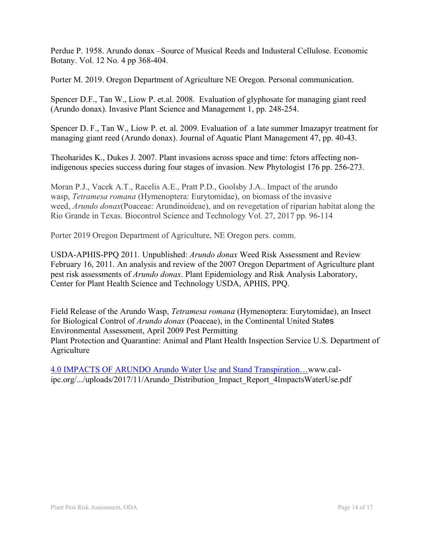Perdue P. 1958. Arundo donax –Source of Musical Reeds and Industeral Cellulose. Economic Botany. Vol. 12 No. 4 pp 368-404.

Porter M. 2019. Oregon Department of Agriculture NE Oregon. Personal communication.

Spencer D.F., Tan W., Liow P. et.al. 2008. Evaluation of glyphosate for managing giant reed (Arundo donax). Invasive Plant Science and Management 1, pp. 248-254.

Spencer D. F., Tan W., Liow P. et. al. 2009. Evaluation of a late summer Imazapyr treatment for managing giant reed (Arundo donax). Journal of Aquatic Plant Management 47, pp. 40-43.

Theoharides K., Dukes J. 2007. Plant invasions across space and time: fctors affecting nonindigenous species success during four stages of invasion. New Phytologist 176 pp. 256-273.

Moran P.J., Vacek A.T., Racelis A.E., Pratt P.D., Goolsby J.A.. Impact of the arundo wasp, *Tetramesa romana* (Hymenoptera: Eurytomidae), on biomass of the invasive weed, *Arundo donax*(Poaceae: Arundinoideae), and on revegetation of riparian habitat along the Rio Grande in Texas. Biocontrol Science and Technology Vol. 27, 2017 pp. 96-114

Porter 2019 Oregon Department of Agriculture, NE Oregon pers. comm.

USDA-APHIS-PPQ 2011*.* Unpublished: *Arundo donax* Weed Risk Assessment and Review February 16, 2011. An analysis and review of the 2007 Oregon Department of Agriculture plant pest risk assessments of *Arundo donax*. Plant Epidemiology and Risk Analysis Laboratory, Center for Plant Health Science and Technology USDA, APHIS, PPQ.

Field Release of the Arundo Wasp, *Tetramesa romana* (Hymenoptera: Eurytomidae), an Insect for Biological Control of *Arundo donax* (Poaceae), in the Continental United States Environmental Assessment, April 2009 Pest Permitting Plant Protection and Quarantine: Animal and Plant Health Inspection Service U.S. Department of Agriculture

4.0 IMPACTS OF ARUNDO Arundo Water Use and Stand Transpiration…www.calipc.org/.../uploads/2017/11/Arundo\_Distribution\_Impact\_Report\_4ImpactsWaterUse.pdf